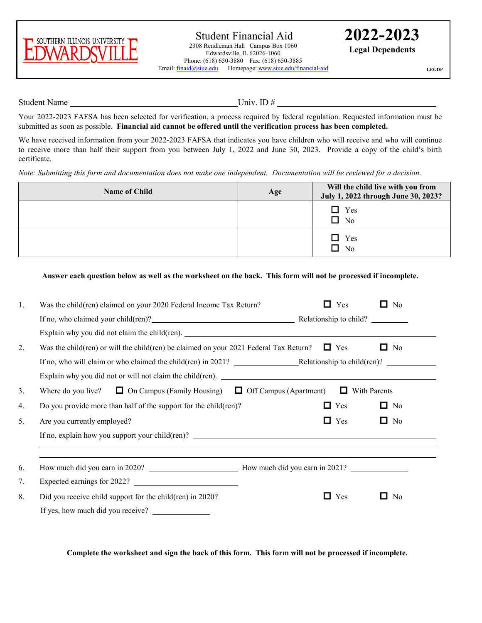

**LEGDP**

Student Name Univ. ID #

Your 2022-2023 FAFSA has been selected for verification, a process required by federal regulation. Requested information must be submitted as soon as possible. **Financial aid cannot be offered until the verification process has been completed.** 

We have received information from your 2022-2023 FAFSA that indicates you have children who will receive and who will continue to receive more than half their support from you between July 1, 2022 and June 30, 2023. Provide a copy of the child's birth certificate*.* 

*Note: Submitting this form and documentation does not make one independent. Documentation will be reviewed for a decision.*

| <b>Name of Child</b> | Age | Will the child live with you from<br>July 1, 2022 through June 30, 2023? |
|----------------------|-----|--------------------------------------------------------------------------|
|                      |     | $\Box$ Yes<br>$\Box$<br>N <sub>o</sub>                                   |
|                      |     | $\Box$ Yes<br>N <sub>0</sub><br>$\Box$                                   |

## **Answer each question below as well as the worksheet on the back. This form will not be processed if incomplete.**

| 1. | Was the child(ren) claimed on your 2020 Federal Income Tax Return?                                                                                                                                      | Yes<br>$\Box$ | □<br>N <sub>o</sub> |  |  |  |
|----|---------------------------------------------------------------------------------------------------------------------------------------------------------------------------------------------------------|---------------|---------------------|--|--|--|
|    |                                                                                                                                                                                                         |               |                     |  |  |  |
|    | Explain why you did not claim the child(ren).                                                                                                                                                           |               |                     |  |  |  |
| 2. | Was the child(ren) or will the child(ren) be claimed on your 2021 Federal Tax Return? $\Box$ Yes<br>No<br>ப<br>If no, who will claim or who claimed the child(ren) in 2021? Relationship to child(ren)? |               |                     |  |  |  |
|    |                                                                                                                                                                                                         |               |                     |  |  |  |
|    | Explain why you did not or will not claim the child(ren).                                                                                                                                               |               |                     |  |  |  |
| 3. | Where do you live? $\Box$ On Campus (Family Housing) $\Box$ Off Campus (Apartment)<br>$\Box$ With Parents                                                                                               |               |                     |  |  |  |
| 4. | Do you provide more than half of the support for the child(ren)?                                                                                                                                        | 0<br>Yes      | $\Box$<br>No        |  |  |  |
| 5. | Are you currently employed?                                                                                                                                                                             | Yes<br>ப      | No<br>ш             |  |  |  |
|    | If no, explain how you support your child(ren)? $\qquad \qquad$                                                                                                                                         |               |                     |  |  |  |
|    |                                                                                                                                                                                                         |               |                     |  |  |  |
| 6. |                                                                                                                                                                                                         |               |                     |  |  |  |
| 7. | Expected earnings for 2022?                                                                                                                                                                             |               |                     |  |  |  |
| 8. | Did you receive child support for the child(ren) in 2020?                                                                                                                                               | Yes<br>U      | No<br>U             |  |  |  |
|    | If yes, how much did you receive?                                                                                                                                                                       |               |                     |  |  |  |
|    |                                                                                                                                                                                                         |               |                     |  |  |  |

**Complete the worksheet and sign the back of this form. This form will not be processed if incomplete.**